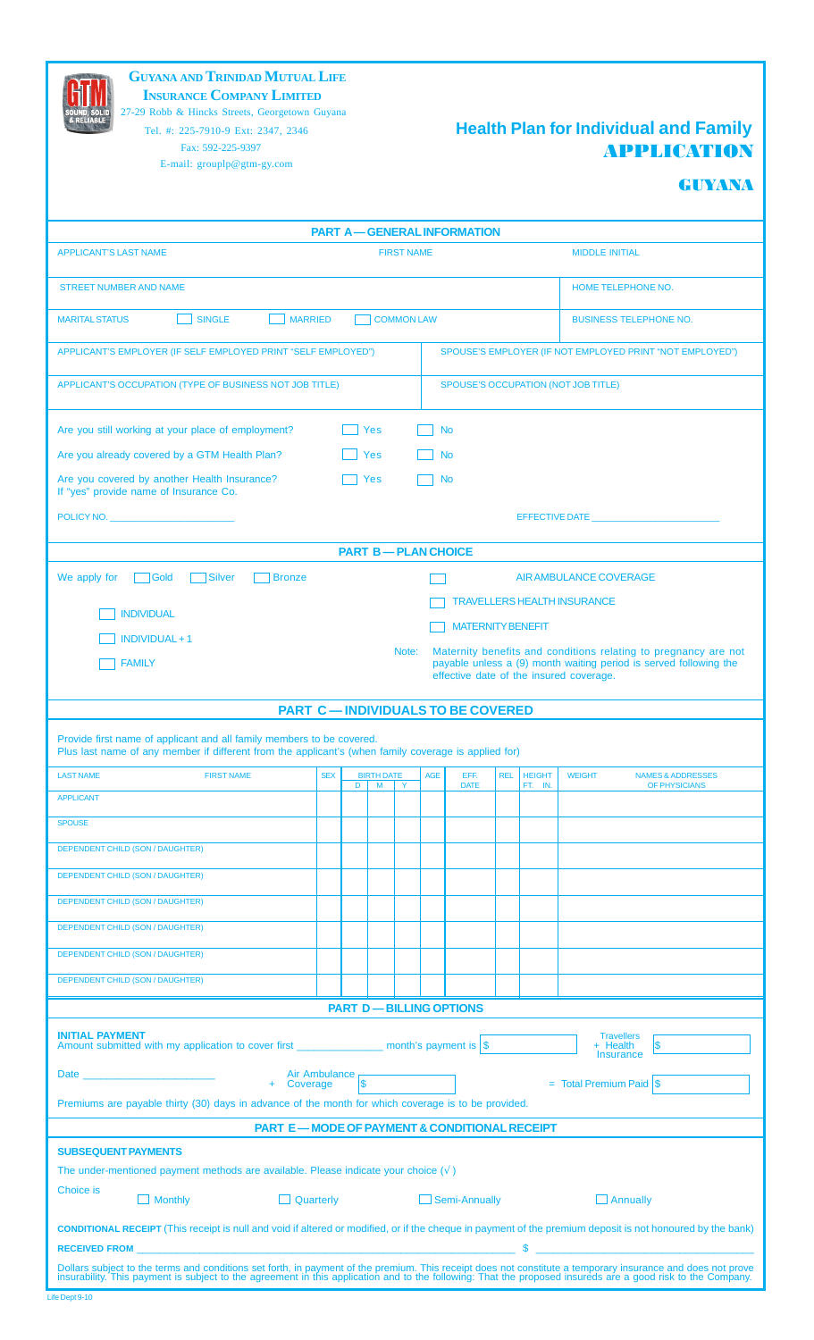**GUYANA AND TRINIDAD MUTUAL LIFE INSURANCE COMPANY LIMITED**

 $\mathbb H$ 

27-29 Robb & Hincks Streets, Georgetown Guyana E-mail: grouplp@gtm-gy.com

# Tel. #: 225-7910-9 Ext: 2347, 2346 **Health Plan for Individual and Family** Fax: 592-225-9397 **APPLICATION**

## GUYANA

| <b>PART A-GENERAL INFORMATION</b>                                                                                                                                                                                                                                                                                                                                            |            |   |                   |                   |            |                                         |            |               |                                                                                                              |  |  |
|------------------------------------------------------------------------------------------------------------------------------------------------------------------------------------------------------------------------------------------------------------------------------------------------------------------------------------------------------------------------------|------------|---|-------------------|-------------------|------------|-----------------------------------------|------------|---------------|--------------------------------------------------------------------------------------------------------------|--|--|
| <b>APPLICANT'S LAST NAME</b>                                                                                                                                                                                                                                                                                                                                                 |            |   |                   | <b>FIRST NAME</b> |            |                                         |            |               | <b>MIDDLE INITIAL</b>                                                                                        |  |  |
| <b>STREET NUMBER AND NAME</b>                                                                                                                                                                                                                                                                                                                                                |            |   |                   |                   |            |                                         |            |               | <b>HOME TELEPHONE NO.</b>                                                                                    |  |  |
| <b>SINGLE</b><br><b>MARITAL STATUS</b><br><b>MARRIED</b><br><b>COMMON LAW</b><br><b>BUSINESS TELEPHONE NO.</b>                                                                                                                                                                                                                                                               |            |   |                   |                   |            |                                         |            |               |                                                                                                              |  |  |
| APPLICANT'S EMPLOYER (IF SELF EMPLOYED PRINT "SELF EMPLOYED")                                                                                                                                                                                                                                                                                                                |            |   |                   |                   |            |                                         |            |               | SPOUSE'S EMPLOYER (IF NOT EMPLOYED PRINT "NOT EMPLOYED")                                                     |  |  |
| APPLICANT'S OCCUPATION (TYPE OF BUSINESS NOT JOB TITLE)<br>SPOUSE'S OCCUPATION (NOT JOB TITLE)                                                                                                                                                                                                                                                                               |            |   |                   |                   |            |                                         |            |               |                                                                                                              |  |  |
| Are you still working at your place of employment?<br>Yes<br><b>No</b>                                                                                                                                                                                                                                                                                                       |            |   |                   |                   |            |                                         |            |               |                                                                                                              |  |  |
| Are you already covered by a GTM Health Plan?                                                                                                                                                                                                                                                                                                                                |            |   | Yes               |                   |            | <b>No</b>                               |            |               |                                                                                                              |  |  |
| Are you covered by another Health Insurance?<br>If "yes" provide name of Insurance Co.                                                                                                                                                                                                                                                                                       |            |   | <b>Yes</b>        |                   |            | <b>No</b>                               |            |               |                                                                                                              |  |  |
| POLICY NO.                                                                                                                                                                                                                                                                                                                                                                   |            |   |                   |                   |            |                                         |            |               | EFFECTIVE DATE                                                                                               |  |  |
|                                                                                                                                                                                                                                                                                                                                                                              |            |   |                   |                   |            | <b>PART B-PLAN CHOICE</b>               |            |               |                                                                                                              |  |  |
| We apply for<br>Gold<br><b>Silver</b><br><b>Bronze</b>                                                                                                                                                                                                                                                                                                                       |            |   |                   |                   |            |                                         |            |               | AIR AMBULANCE COVERAGE                                                                                       |  |  |
|                                                                                                                                                                                                                                                                                                                                                                              |            |   |                   |                   |            |                                         |            |               | <b>TRAVELLERS HEALTH INSURANCE</b>                                                                           |  |  |
| <b>INDIVIDUAL</b>                                                                                                                                                                                                                                                                                                                                                            |            |   |                   |                   |            | <b>MATERNITY BENEFIT</b>                |            |               |                                                                                                              |  |  |
| <b>INDIVIDUAL + 1</b>                                                                                                                                                                                                                                                                                                                                                        |            |   |                   | Note:             |            |                                         |            |               | Maternity benefits and conditions relating to pregnancy are not                                              |  |  |
| <b>FAMILY</b>                                                                                                                                                                                                                                                                                                                                                                |            |   |                   |                   |            |                                         |            |               | payable unless a (9) month waiting period is served following the<br>effective date of the insured coverage. |  |  |
|                                                                                                                                                                                                                                                                                                                                                                              |            |   |                   |                   |            | <b>PART C-INDIVIDUALS TO BE COVERED</b> |            |               |                                                                                                              |  |  |
| Provide first name of applicant and all family members to be covered.<br>Plus last name of any member if different from the applicant's (when family coverage is applied for)                                                                                                                                                                                                |            |   |                   |                   |            |                                         |            |               |                                                                                                              |  |  |
| <b>LAST NAME</b><br><b>FIRST NAME</b>                                                                                                                                                                                                                                                                                                                                        | <b>SEX</b> |   | <b>BIRTH DATE</b> |                   | <b>AGE</b> | EFF.                                    | <b>REL</b> | <b>HEIGHT</b> | <b>WEIGHT</b><br><b>NAMES &amp; ADDRESSES</b>                                                                |  |  |
| <b>APPLICANT</b>                                                                                                                                                                                                                                                                                                                                                             |            | D | M                 | $\mathsf{Y}$      |            | <b>DATE</b>                             |            | FT. IN.       | OF PHYSICIANS                                                                                                |  |  |
| <b>SPOUSE</b>                                                                                                                                                                                                                                                                                                                                                                |            |   |                   |                   |            |                                         |            |               |                                                                                                              |  |  |
| DEPENDENT CHILD (SON / DAUGHTER)                                                                                                                                                                                                                                                                                                                                             |            |   |                   |                   |            |                                         |            |               |                                                                                                              |  |  |
| <b>DEPENDENT CHILD (SON / DAUGHTER)</b>                                                                                                                                                                                                                                                                                                                                      |            |   |                   |                   |            |                                         |            |               |                                                                                                              |  |  |
| <b>DEPENDENT CHILD (SON / DAUGHTER)</b>                                                                                                                                                                                                                                                                                                                                      |            |   |                   |                   |            |                                         |            |               |                                                                                                              |  |  |
|                                                                                                                                                                                                                                                                                                                                                                              |            |   |                   |                   |            |                                         |            |               |                                                                                                              |  |  |
| <b>DEPENDENT CHILD (SON / DAUGHTER)</b>                                                                                                                                                                                                                                                                                                                                      |            |   |                   |                   |            |                                         |            |               |                                                                                                              |  |  |
| <b>DEPENDENT CHILD (SON / DAUGHTER)</b>                                                                                                                                                                                                                                                                                                                                      |            |   |                   |                   |            |                                         |            |               |                                                                                                              |  |  |
| DEPENDENT CHILD (SON / DAUGHTER)                                                                                                                                                                                                                                                                                                                                             |            |   |                   |                   |            |                                         |            |               |                                                                                                              |  |  |
| <b>PART D-BILLING OPTIONS</b>                                                                                                                                                                                                                                                                                                                                                |            |   |                   |                   |            |                                         |            |               |                                                                                                              |  |  |
| <b>INITIAL PAYMENT</b><br><b>Travellers</b><br>Amount submitted with my application to cover first _________________ month's payment is \$<br>\$<br>+ Health<br>Insurance                                                                                                                                                                                                    |            |   |                   |                   |            |                                         |            |               |                                                                                                              |  |  |
| Date <u>and the second contract of the second contract of the second contract of the second contract of the second contract of the second contract of the second contract of the second contract of the second contract of the s</u>                                                                                                                                         |            |   |                   |                   |            |                                         |            |               |                                                                                                              |  |  |
| Air Ambulance<br>+ Coverage<br>$\vert$ \$<br>$=$ Total Premium Paid $\sqrt{\$}$<br>Premiums are payable thirty (30) days in advance of the month for which coverage is to be provided.                                                                                                                                                                                       |            |   |                   |                   |            |                                         |            |               |                                                                                                              |  |  |
| <b>PART E - MODE OF PAYMENT &amp; CONDITIONAL RECEIPT</b>                                                                                                                                                                                                                                                                                                                    |            |   |                   |                   |            |                                         |            |               |                                                                                                              |  |  |
| <b>SUBSEQUENT PAYMENTS</b>                                                                                                                                                                                                                                                                                                                                                   |            |   |                   |                   |            |                                         |            |               |                                                                                                              |  |  |
| The under-mentioned payment methods are available. Please indicate your choice $(\sqrt{})$                                                                                                                                                                                                                                                                                   |            |   |                   |                   |            |                                         |            |               |                                                                                                              |  |  |
| Choice is<br>Quarterly Quarter<br>$\Box$ Monthly                                                                                                                                                                                                                                                                                                                             |            |   |                   |                   |            | Semi-Annually                           |            |               | $\Box$ Annually                                                                                              |  |  |
| <b>CONDITIONAL RECEIPT</b> (This receipt is null and void if altered or modified, or if the cheque in payment of the premium deposit is not honoured by the bank)<br><u> 1989 - Johann Stein, marwolaethau a bhann an t-Amhain an t-Amhain an t-Amhain an t-Amhain an t-Amhain an t-A</u><br><u> 1990 - Johann Barbara, martin a</u><br>$\mathbf{s}$<br><b>RECEIVED FROM</b> |            |   |                   |                   |            |                                         |            |               |                                                                                                              |  |  |
|                                                                                                                                                                                                                                                                                                                                                                              |            |   |                   |                   |            |                                         |            |               |                                                                                                              |  |  |
| Dollars subject to the terms and conditions set forth, in payment of the premium. This receipt does not constitute a temporary insurance and does not prove insurability. This payment is subject to the agreement in this app                                                                                                                                               |            |   |                   |                   |            |                                         |            |               |                                                                                                              |  |  |